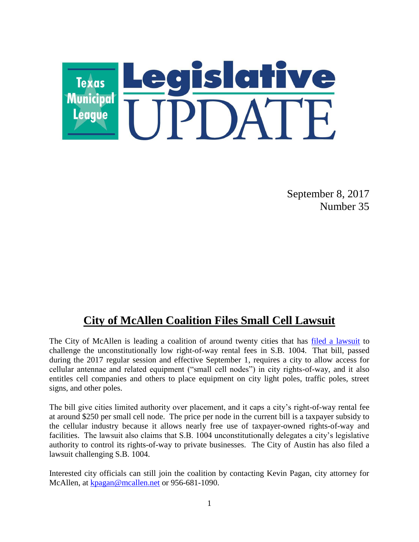

September 8, 2017 Number 35

## **City of McAllen Coalition Files Small Cell Lawsuit**

The City of McAllen is leading a coalition of around twenty cities that has [filed a lawsuit](https://www.tml.org/p/Plaintiff) to challenge the unconstitutionally low right-of-way rental fees in S.B. 1004. That bill, passed during the 2017 regular session and effective September 1, requires a city to allow access for cellular antennae and related equipment ("small cell nodes") in city rights-of-way, and it also entitles cell companies and others to place equipment on city light poles, traffic poles, street signs, and other poles.

The bill give cities limited authority over placement, and it caps a city's right-of-way rental fee at around \$250 per small cell node. The price per node in the current bill is a taxpayer subsidy to the cellular industry because it allows nearly free use of taxpayer-owned rights-of-way and facilities. The lawsuit also claims that S.B. 1004 unconstitutionally delegates a city's legislative authority to control its rights-of-way to private businesses. The City of Austin has also filed a lawsuit challenging S.B. 1004.

Interested city officials can still join the coalition by contacting Kevin Pagan, city attorney for McAllen, at [kpagan@mcallen.net](mailto:kpagan@mcallen.net) or 956-681-1090.